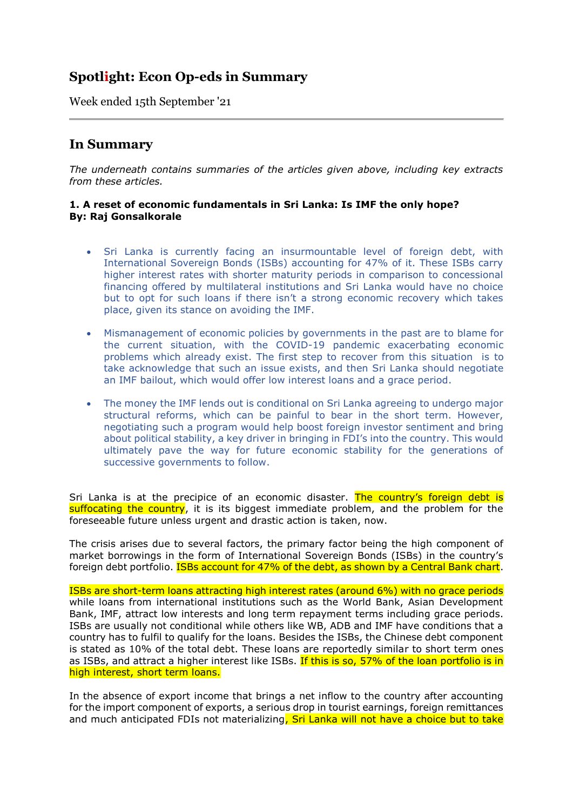# **Spotlight: Econ Op-eds in Summary**

Week ended 15th September '21

## **In Summary**

*The underneath contains summaries of the articles given above, including key extracts from these articles.*

## **1. A reset of economic fundamentals in Sri Lanka: Is IMF the only hope? By: Raj Gonsalkorale**

- Sri Lanka is currently facing an insurmountable level of foreign debt, with International Sovereign Bonds (ISBs) accounting for 47% of it. These ISBs carry higher interest rates with shorter maturity periods in comparison to concessional financing offered by multilateral institutions and Sri Lanka would have no choice but to opt for such loans if there isn't a strong economic recovery which takes place, given its stance on avoiding the IMF.
- Mismanagement of economic policies by governments in the past are to blame for the current situation, with the COVID-19 pandemic exacerbating economic problems which already exist. The first step to recover from this situation is to take acknowledge that such an issue exists, and then Sri Lanka should negotiate an IMF bailout, which would offer low interest loans and a grace period.
- The money the IMF lends out is conditional on Sri Lanka agreeing to undergo major structural reforms, which can be painful to bear in the short term. However, negotiating such a program would help boost foreign investor sentiment and bring about political stability, a key driver in bringing in FDI's into the country. This would ultimately pave the way for future economic stability for the generations of successive governments to follow.

Sri Lanka is at the precipice of an economic disaster. The country's foreign debt is suffocating the country, it is its biggest immediate problem, and the problem for the foreseeable future unless urgent and drastic action is taken, now.

The crisis arises due to several factors, the primary factor being the high component of market borrowings in the form of International Sovereign Bonds (ISBs) in the country's foreign debt portfolio. **ISBs account for 47% of the debt, as shown by a Central Bank chart.** 

ISBs are short-term loans attracting high interest rates (around 6%) with no grace periods while loans from international institutions such as the World Bank, Asian Development Bank, IMF, attract low interests and long term repayment terms including grace periods. ISBs are usually not conditional while others like WB, ADB and IMF have conditions that a country has to fulfil to qualify for the loans. Besides the ISBs, the Chinese debt component is stated as 10% of the total debt. These loans are reportedly similar to short term ones as ISBs, and attract a higher interest like ISBs. If this is so, 57% of the loan portfolio is in high interest, short term loans.

In the absence of export income that brings a net inflow to the country after accounting for the import component of exports, a serious drop in tourist earnings, foreign remittances and much anticipated FDIs not materializing, Sri Lanka will not have a choice but to take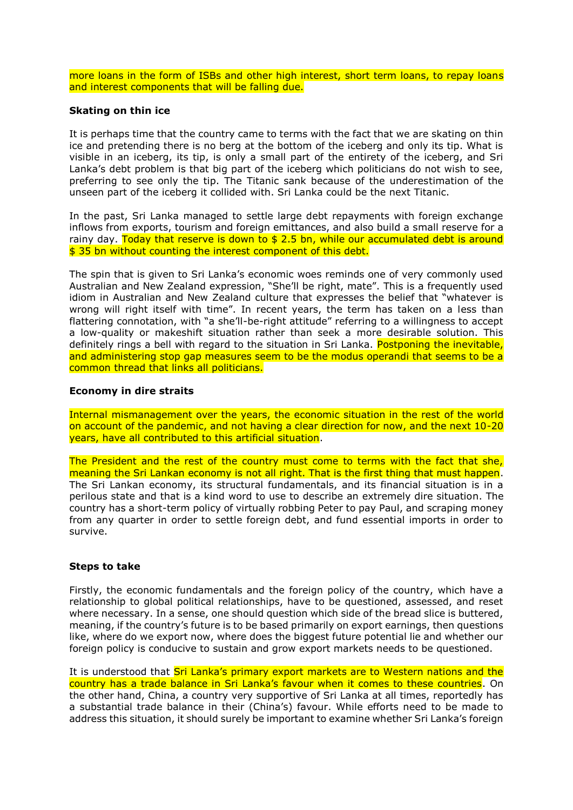more loans in the form of ISBs and other high interest, short term loans, to repay loans and interest components that will be falling due.

#### **Skating on thin ice**

It is perhaps time that the country came to terms with the fact that we are skating on thin ice and pretending there is no berg at the bottom of the iceberg and only its tip. What is visible in an iceberg, its tip, is only a small part of the entirety of the iceberg, and Sri Lanka's debt problem is that big part of the iceberg which politicians do not wish to see, preferring to see only the tip. The Titanic sank because of the underestimation of the unseen part of the iceberg it collided with. Sri Lanka could be the next Titanic.

In the past, Sri Lanka managed to settle large debt repayments with foreign exchange inflows from exports, tourism and foreign emittances, and also build a small reserve for a rainy day. Today that reserve is down to  $$ 2.5$  bn, while our accumulated debt is around \$ 35 bn without counting the interest component of this debt.

The spin that is given to Sri Lanka's economic woes reminds one of very commonly used Australian and New Zealand expression, "She'll be right, mate". This is a frequently used idiom in Australian and New Zealand culture that expresses the belief that "whatever is wrong will right itself with time". In recent years, the term has taken on a less than flattering connotation, with "a she'll-be-right attitude" referring to a willingness to accept a low-quality or makeshift situation rather than seek a more desirable solution. This definitely rings a bell with regard to the situation in Sri Lanka. Postponing the inevitable, and administering stop gap measures seem to be the modus operandi that seems to be a common thread that links all politicians.

#### **Economy in dire straits**

Internal mismanagement over the years, the economic situation in the rest of the world on account of the pandemic, and not having a clear direction for now, and the next 10-20 years, have all contributed to this artificial situation.

The President and the rest of the country must come to terms with the fact that she, meaning the Sri Lankan economy is not all right. That is the first thing that must happen. The Sri Lankan economy, its structural fundamentals, and its financial situation is in a perilous state and that is a kind word to use to describe an extremely dire situation. The country has a short-term policy of virtually robbing Peter to pay Paul, and scraping money from any quarter in order to settle foreign debt, and fund essential imports in order to survive.

#### **Steps to take**

Firstly, the economic fundamentals and the foreign policy of the country, which have a relationship to global political relationships, have to be questioned, assessed, and reset where necessary. In a sense, one should question which side of the bread slice is buttered, meaning, if the country's future is to be based primarily on export earnings, then questions like, where do we export now, where does the biggest future potential lie and whether our foreign policy is conducive to sustain and grow export markets needs to be questioned.

It is understood that Sri Lanka's primary export markets are to Western nations and the country has a trade balance in Sri Lanka's favour when it comes to these countries. On the other hand, China, a country very supportive of Sri Lanka at all times, reportedly has a substantial trade balance in their (China's) favour. While efforts need to be made to address this situation, it should surely be important to examine whether Sri Lanka's foreign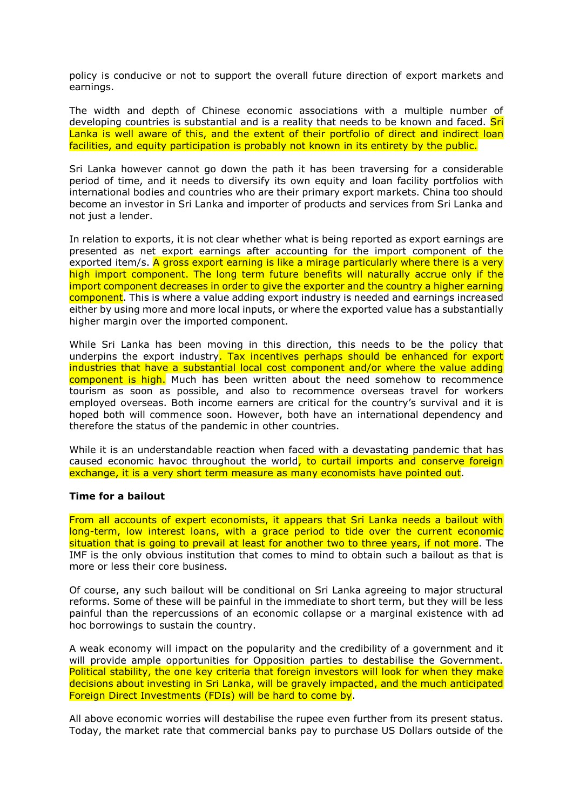policy is conducive or not to support the overall future direction of export markets and earnings.

The width and depth of Chinese economic associations with a multiple number of developing countries is substantial and is a reality that needs to be known and faced. Sri Lanka is well aware of this, and the extent of their portfolio of direct and indirect loan facilities, and equity participation is probably not known in its entirety by the public.

Sri Lanka however cannot go down the path it has been traversing for a considerable period of time, and it needs to diversify its own equity and loan facility portfolios with international bodies and countries who are their primary export markets. China too should become an investor in Sri Lanka and importer of products and services from Sri Lanka and not just a lender.

In relation to exports, it is not clear whether what is being reported as export earnings are presented as net export earnings after accounting for the import component of the exported item/s. A gross export earning is like a mirage particularly where there is a very high import component. The long term future benefits will naturally accrue only if the import component decreases in order to give the exporter and the country a higher earning component. This is where a value adding export industry is needed and earnings increased either by using more and more local inputs, or where the exported value has a substantially higher margin over the imported component.

While Sri Lanka has been moving in this direction, this needs to be the policy that underpins the export industry. Tax incentives perhaps should be enhanced for export industries that have a substantial local cost component and/or where the value adding component is high. Much has been written about the need somehow to recommence tourism as soon as possible, and also to recommence overseas travel for workers employed overseas. Both income earners are critical for the country's survival and it is hoped both will commence soon. However, both have an international dependency and therefore the status of the pandemic in other countries.

While it is an understandable reaction when faced with a devastating pandemic that has caused economic havoc throughout the world, to curtail imports and conserve foreign exchange, it is a very short term measure as many economists have pointed out.

## **Time for a bailout**

From all accounts of expert economists, it appears that Sri Lanka needs a bailout with long-term, low interest loans, with a grace period to tide over the current economic situation that is going to prevail at least for another two to three years, if not more. The IMF is the only obvious institution that comes to mind to obtain such a bailout as that is more or less their core business.

Of course, any such bailout will be conditional on Sri Lanka agreeing to major structural reforms. Some of these will be painful in the immediate to short term, but they will be less painful than the repercussions of an economic collapse or a marginal existence with ad hoc borrowings to sustain the country.

A weak economy will impact on the popularity and the credibility of a government and it will provide ample opportunities for Opposition parties to destabilise the Government. Political stability, the one key criteria that foreign investors will look for when they make decisions about investing in Sri Lanka, will be gravely impacted, and the much anticipated Foreign Direct Investments (FDIs) will be hard to come by.

All above economic worries will destabilise the rupee even further from its present status. Today, the market rate that commercial banks pay to purchase US Dollars outside of the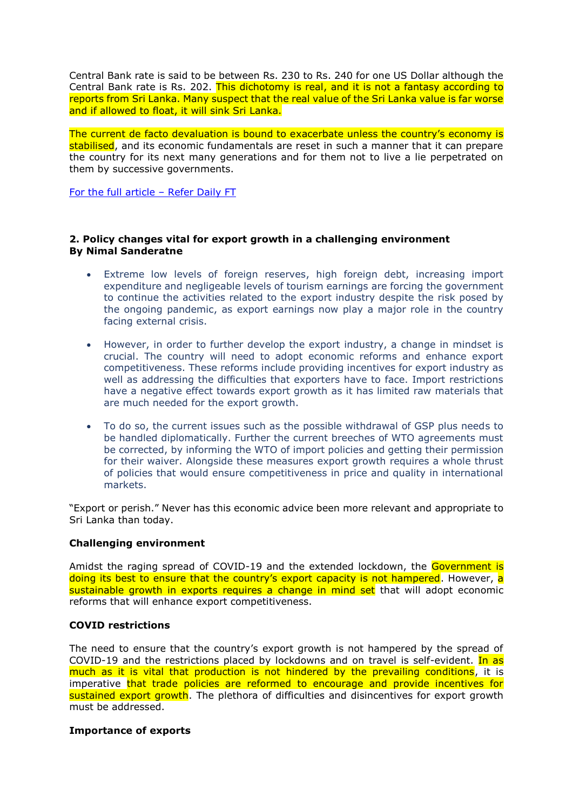Central Bank rate is said to be between Rs. 230 to Rs. 240 for one US Dollar although the Central Bank rate is Rs. 202. This dichotomy is real, and it is not a fantasy according to reports from Sri Lanka. Many suspect that the real value of the Sri Lanka value is far worse and if allowed to float, it will sink Sri Lanka.

The current de facto devaluation is bound to exacerbate unless the country's economy is stabilised, and its economic fundamentals are reset in such a manner that it can prepare the country for its next many generations and for them not to live a lie perpetrated on them by successive governments.

[For the full article](https://www.ft.lk/opinion/A-reset-of-economic-fundamentals-in-Sri-Lanka-Is-IMF-the-only-hope/14-723054) - Refer Daily FT

## **2. Policy changes vital for export growth in a challenging environment By Nimal Sanderatne**

- Extreme low levels of foreign reserves, high foreign debt, increasing import expenditure and negligeable levels of tourism earnings are forcing the government to continue the activities related to the export industry despite the risk posed by the ongoing pandemic, as export earnings now play a major role in the country facing external crisis.
- However, in order to further develop the export industry, a change in mindset is crucial. The country will need to adopt economic reforms and enhance export competitiveness. These reforms include providing incentives for export industry as well as addressing the difficulties that exporters have to face. Import restrictions have a negative effect towards export growth as it has limited raw materials that are much needed for the export growth.
- To do so, the current issues such as the possible withdrawal of GSP plus needs to be handled diplomatically. Further the current breeches of WTO agreements must be corrected, by informing the WTO of import policies and getting their permission for their waiver. Alongside these measures export growth requires a whole thrust of policies that would ensure competitiveness in price and quality in international markets.

"Export or perish." Never has this economic advice been more relevant and appropriate to Sri Lanka than today.

## **Challenging environment**

Amidst the raging spread of COVID-19 and the extended lockdown, the Government is doing its best to ensure that the country's export capacity is not hampered. However, a sustainable growth in exports requires a change in mind set that will adopt economic reforms that will enhance export competitiveness.

## **COVID restrictions**

The need to ensure that the country's export growth is not hampered by the spread of COVID-19 and the restrictions placed by lockdowns and on travel is self-evident. In as much as it is vital that production is not hindered by the prevailing conditions, it is imperative that trade policies are reformed to encourage and provide incentives for sustained export growth. The plethora of difficulties and disincentives for export growth must be addressed.

## **Importance of exports**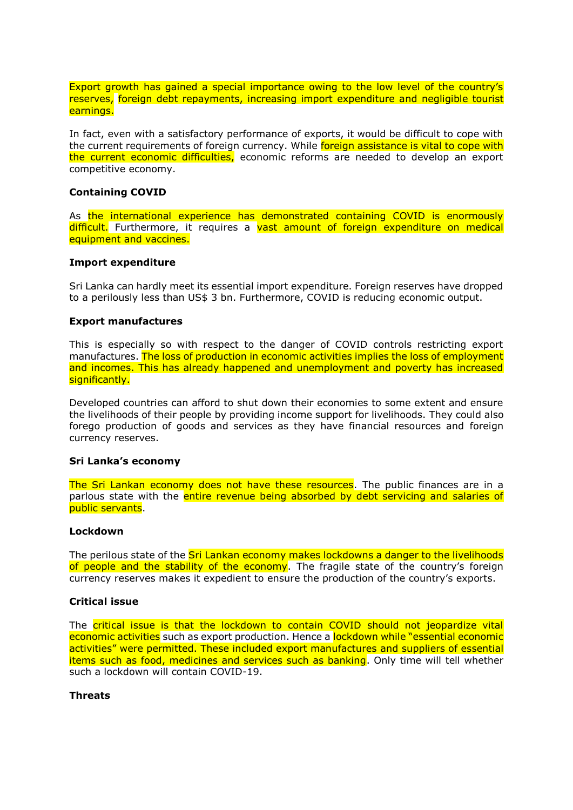Export growth has gained a special importance owing to the low level of the country's reserves, foreign debt repayments, increasing import expenditure and negligible tourist earnings.

In fact, even with a satisfactory performance of exports, it would be difficult to cope with the current requirements of foreign currency. While **foreign assistance is vital to cope with** the current economic difficulties, economic reforms are needed to develop an export competitive economy.

## **Containing COVID**

As the international experience has demonstrated containing COVID is enormously difficult. Furthermore, it requires a vast amount of foreign expenditure on medical equipment and vaccines.

#### **Import expenditure**

Sri Lanka can hardly meet its essential import expenditure. Foreign reserves have dropped to a perilously less than US\$ 3 bn. Furthermore, COVID is reducing economic output.

#### **Export manufactures**

This is especially so with respect to the danger of COVID controls restricting export manufactures. The loss of production in economic activities implies the loss of employment and incomes. This has already happened and unemployment and poverty has increased significantly.

Developed countries can afford to shut down their economies to some extent and ensure the livelihoods of their people by providing income support for livelihoods. They could also forego production of goods and services as they have financial resources and foreign currency reserves.

#### **Sri Lanka's economy**

The Sri Lankan economy does not have these resources. The public finances are in a parlous state with the entire revenue being absorbed by debt servicing and salaries of public servants.

## **Lockdown**

The perilous state of the Sri Lankan economy makes lockdowns a danger to the livelihoods of people and the stability of the economy. The fragile state of the country's foreign currency reserves makes it expedient to ensure the production of the country's exports.

#### **Critical issue**

The critical issue is that the lockdown to contain COVID should not jeopardize vital economic activities such as export production. Hence a lockdown while "essential economic activities" were permitted. These included export manufactures and suppliers of essential items such as food, medicines and services such as banking. Only time will tell whether such a lockdown will contain COVID-19.

## **Threats**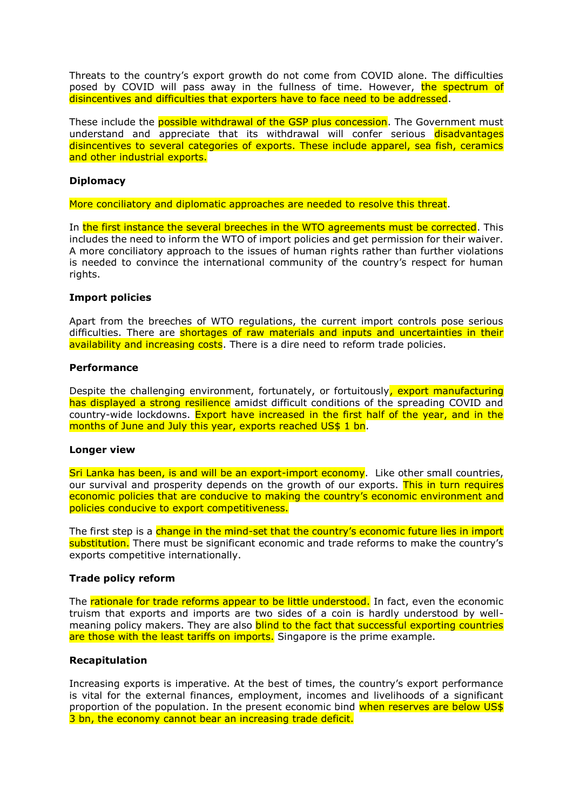Threats to the country's export growth do not come from COVID alone. The difficulties posed by COVID will pass away in the fullness of time. However, the spectrum of disincentives and difficulties that exporters have to face need to be addressed.

These include the **possible withdrawal of the GSP plus concession**. The Government must understand and appreciate that its withdrawal will confer serious disadvantages disincentives to several categories of exports. These include apparel, sea fish, ceramics and other industrial exports.

## **Diplomacy**

More conciliatory and diplomatic approaches are needed to resolve this threat.

In the first instance the several breeches in the WTO agreements must be corrected. This includes the need to inform the WTO of import policies and get permission for their waiver. A more conciliatory approach to the issues of human rights rather than further violations is needed to convince the international community of the country's respect for human rights.

#### **Import policies**

Apart from the breeches of WTO regulations, the current import controls pose serious difficulties. There are shortages of raw materials and inputs and uncertainties in their availability and increasing costs. There is a dire need to reform trade policies.

#### **Performance**

Despite the challenging environment, fortunately, or fortuitously, export manufacturing has displayed a strong resilience amidst difficult conditions of the spreading COVID and country-wide lockdowns. Export have increased in the first half of the year, and in the months of June and July this year, exports reached US\$ 1 bn.

#### **Longer view**

Sri Lanka has been, is and will be an export-import economy. Like other small countries, our survival and prosperity depends on the growth of our exports. This in turn requires economic policies that are conducive to making the country's economic environment and policies conducive to export competitiveness.

The first step is a change in the mind-set that the country's economic future lies in import substitution. There must be significant economic and trade reforms to make the country's exports competitive internationally.

## **Trade policy reform**

The rationale for trade reforms appear to be little understood. In fact, even the economic truism that exports and imports are two sides of a coin is hardly understood by wellmeaning policy makers. They are also **blind to the fact that successful exporting countries** are those with the least tariffs on imports. Singapore is the prime example.

#### **Recapitulation**

Increasing exports is imperative. At the best of times, the country's export performance is vital for the external finances, employment, incomes and livelihoods of a significant proportion of the population. In the present economic bind when reserves are below US\$ 3 bn, the economy cannot bear an increasing trade deficit.